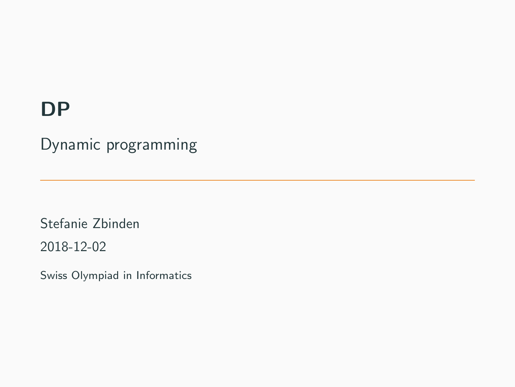## **DP**

Dynamic programming

Stefanie Zbinden

2018-12-02

Swiss Olympiad in Informatics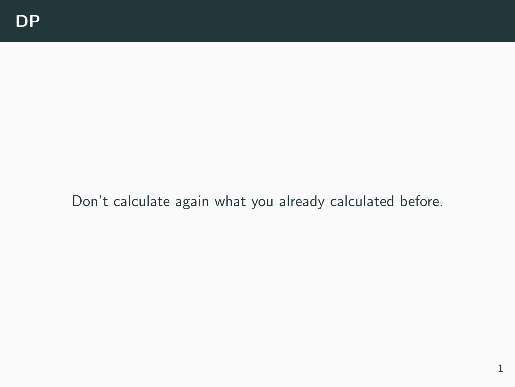Don't calculate again what you already calculated before.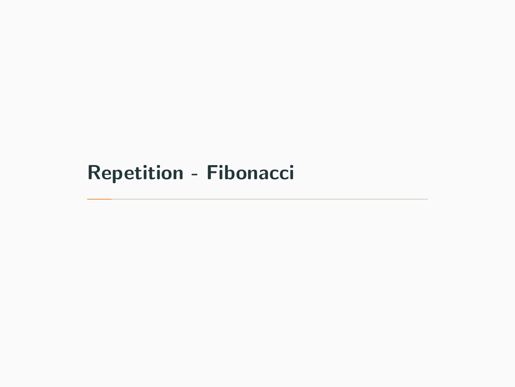# <span id="page-2-0"></span>[Repetition - Fibonacci](#page-2-0)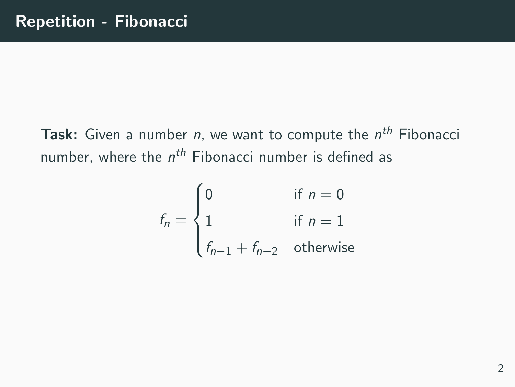**Task:** Given a number  $n$ , we want to compute the  $n^{th}$  Fibonacci number, where the  $n^{th}$  Fibonacci number is defined as

$$
f_n = \begin{cases} 0 & \text{if } n = 0\\ 1 & \text{if } n = 1\\ f_{n-1} + f_{n-2} & \text{otherwise} \end{cases}
$$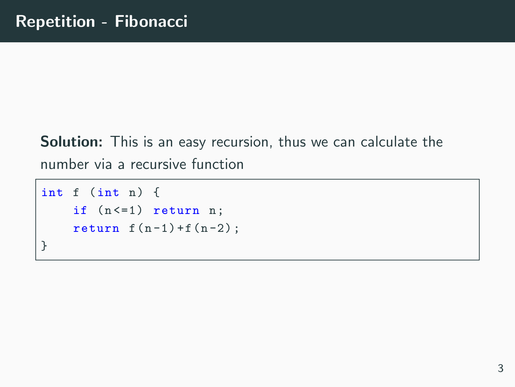Solution: This is an easy recursion, thus we can calculate the number via a recursive function

```
int f (int n) fif (n < = 1) return n;
    return f(n-1) + f(n-2);
}
```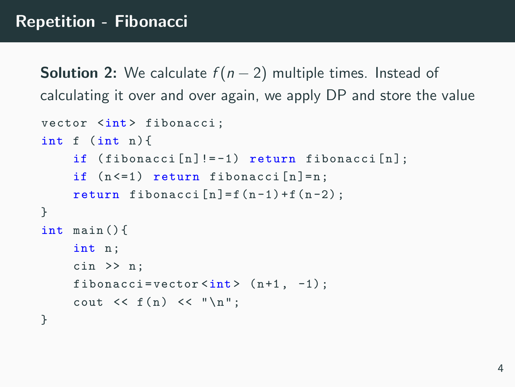**Solution 2:** We calculate  $f(n-2)$  multiple times. Instead of calculating it over and over again, we apply DP and store the value

```
vector <int> fibonacci;
int f (int n) {
     if (fibonacci[n] != -1) return fibonacci[n];
     if (n < = 1) return fibonacci [n] = n;
     return fibonacci [n] = f(n-1) + f(n-2);
}
int main () {
     int n;
     cin >> n ;
     fibonacci=vector \langle int > (n+1, -1);
     cout \langle \xi \rangle f(n) \langle \xi \rangle " \n";
}
```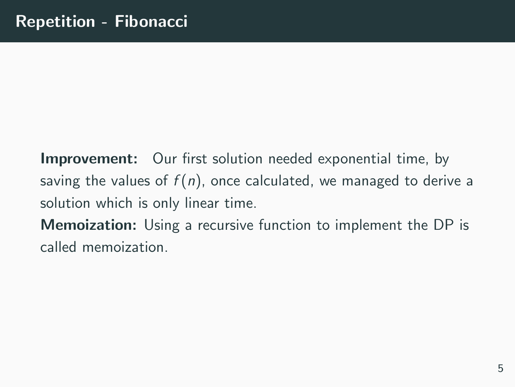**Improvement:** Our first solution needed exponential time, by saving the values of  $f(n)$ , once calculated, we managed to derive a solution which is only linear time.

Memoization: Using a recursive function to implement the DP is called memoization.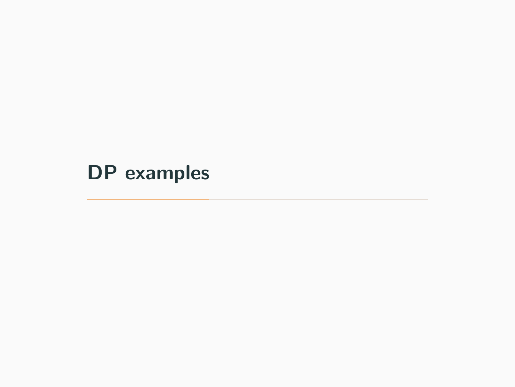<span id="page-7-0"></span>[DP examples](#page-7-0)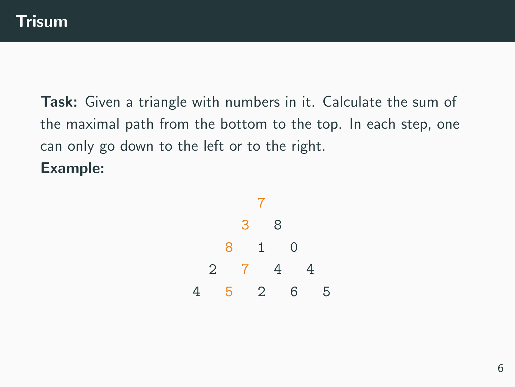Task: Given a triangle with numbers in it. Calculate the sum of the maximal path from the bottom to the top. In each step, one can only go down to the left or to the right. Example:

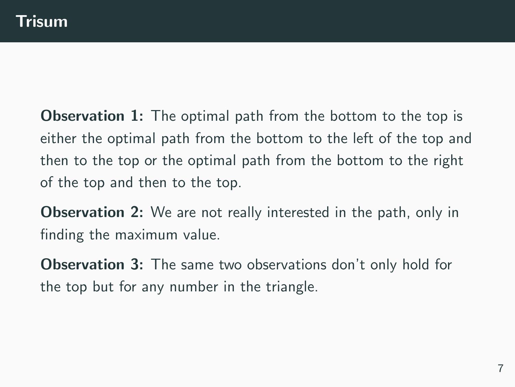**Observation 1:** The optimal path from the bottom to the top is either the optimal path from the bottom to the left of the top and then to the top or the optimal path from the bottom to the right of the top and then to the top.

**Observation 2:** We are not really interested in the path, only in finding the maximum value.

**Observation 3:** The same two observations don't only hold for the top but for any number in the triangle.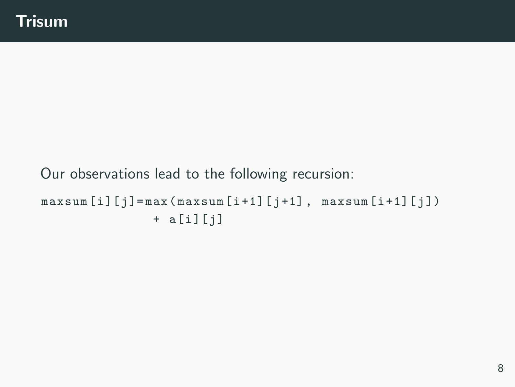## Our observations lead to the following recursion:  $maxsum[i][j] = max(maxsum[i+1][j+1], maxsum[i+1][j])$  $+ a[i][j]$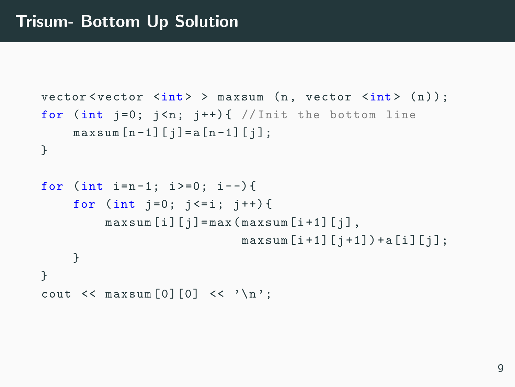```
vector \langle vector \rangle \langle x \rangle \langle x \rangle \langle x \rangle \langle x \rangle \langle x \rangle \langle x \rangle \langle x \rangle \langle x \rangle \langle x \rangle \langle x \rangle \langle x \rangle \langle x \ranglefor (int j=0; j \le n; j++) { //Init the bottom line
       maxsum [n - 1] [j] = a [n - 1] [j];}
for (int i=n-1; i>=0; i--){
       for (int j = 0; j \le i; j++)maxsum[i][j] = max(maxsum[i+1][j],maxsum[i+1][j+1]) + a [i][j];
       }
}
cout \lt\lt maxsum [0] [0] \lt\lt '\n';
```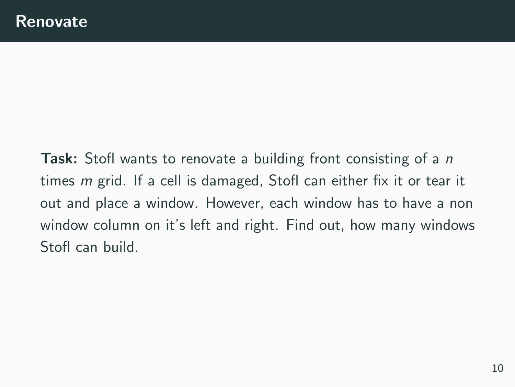**Task:** Stofl wants to renovate a building front consisting of a *n* times m grid. If a cell is damaged, Stofl can either fix it or tear it out and place a window. However, each window has to have a non window column on it's left and right. Find out, how many windows Stofl can build.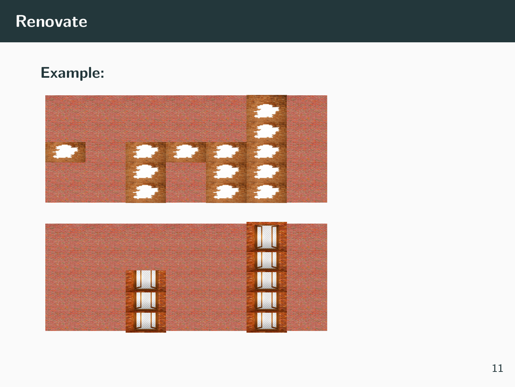## Renovate

#### Example:

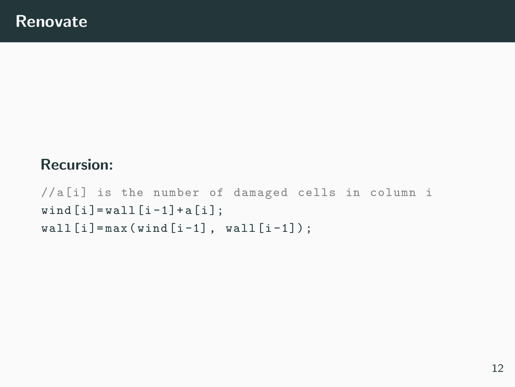#### Recursion:

//a[i] is the number of damaged cells in column i  $wind[i] = wall[i-1] + a[i];$  $wall[i] = max(wind[i-1], wall[i-1]);$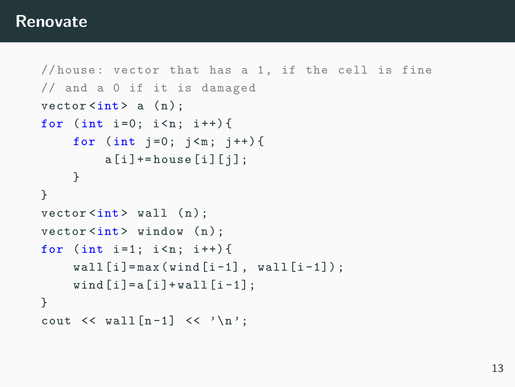#### Renovate

```
//house: vector that has a 1, if the cell is fine
// and a 0 if it is damaged
vector \langle int \rangle a (n);
for (int i=0; i<n; i++){
     for (int i = 0; i \le m; i++)a[i] += house [i] [i];
     }
}
vector < \text{int} > wall (n);
vector \langle int \rangle window (n);
for (int i=1; i < n; i++){
     wall[i] = max(wind[i-1], wall[i-1]);wind[i] = a[i] + wall[i-1];}
cout \langle \cdot \rangle wall [n-1] \langle \cdot \rangle \setminus n':
```